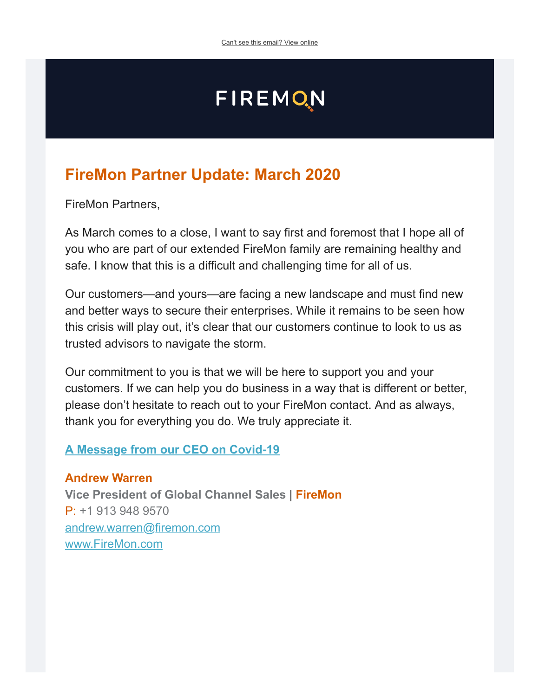# **FIREMON**

### **FireMon Partner Update: March 2020**

FireMon Partners,

As March comes to a close, I want to say first and foremost that I hope all of you who are part of our extended FireMon family are remaining healthy and safe. I know that this is a difficult and challenging time for all of us.

Our customers—and yours—are facing a new landscape and must find new and better ways to secure their enterprises. While it remains to be seen how this crisis will play out, it's clear that our customers continue to look to us as trusted advisors to navigate the storm.

Our commitment to you is that we will be here to support you and your customers. If we can help you do business in a way that is different or better, please don't hesitate to reach out to your FireMon contact. And as always, thank you for everything you do. We truly appreciate it.

#### **[A Message from our CEO on Covid-19](http://content.firemon.com/e/11772/vid-19-a-message-from-our-ceo-/6gy76q/1038337793?h=MvNCnP4tgVG1EgEOfMxoEWcTOLGObdFhTpl8LWGYtTg)**

**Andrew Warren Vice President of Global Channel Sales** | **FireMon** P: +1 913 948 9570 [andrew.warren@firemon.com](mailto:andrew.warren@firemon.com) [www.FireMon.com](http://content.firemon.com/e/11772/2020-03-25/6gy77q/1038337793?h=MvNCnP4tgVG1EgEOfMxoEWcTOLGObdFhTpl8LWGYtTg)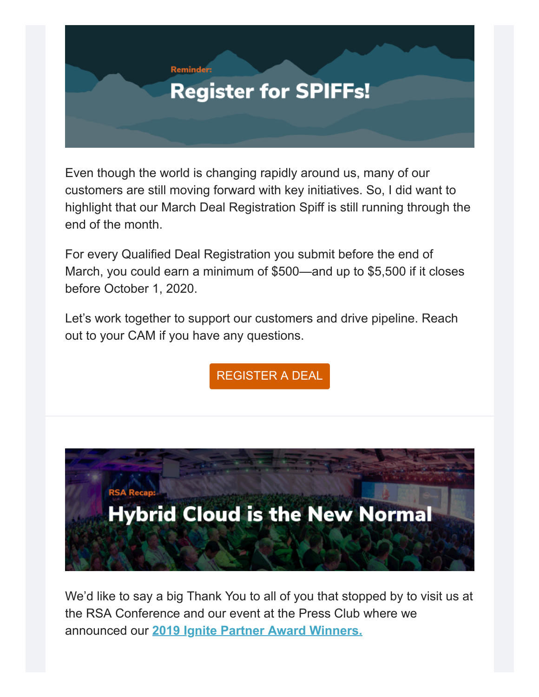

Even though the world is changing rapidly around us, many of our customers are still moving forward with key initiatives. So, I did want to highlight that our March Deal Registration Spiff is still running through the end of the month.

For every Qualified Deal Registration you submit before the end of March, you could earn a minimum of \$500—and up to \$5,500 if it closes before October 1, 2020.

Let's work together to support our customers and drive pipeline. Reach out to your CAM if you have any questions.

[REGISTER A DEAL](http://content.firemon.com/e/11772/egistration-register-deal-aspx/6gy76s/1038337793?h=MvNCnP4tgVG1EgEOfMxoEWcTOLGObdFhTpl8LWGYtTg)



We'd like to say a big Thank You to all of you that stopped by to visit us at the RSA Conference and our event at the Press Club where we announced our **[2019 Ignite Partner Award Winners.](http://content.firemon.com/e/11772/urity-operations-with-firemon-/6gy76v/1038337793?h=MvNCnP4tgVG1EgEOfMxoEWcTOLGObdFhTpl8LWGYtTg)**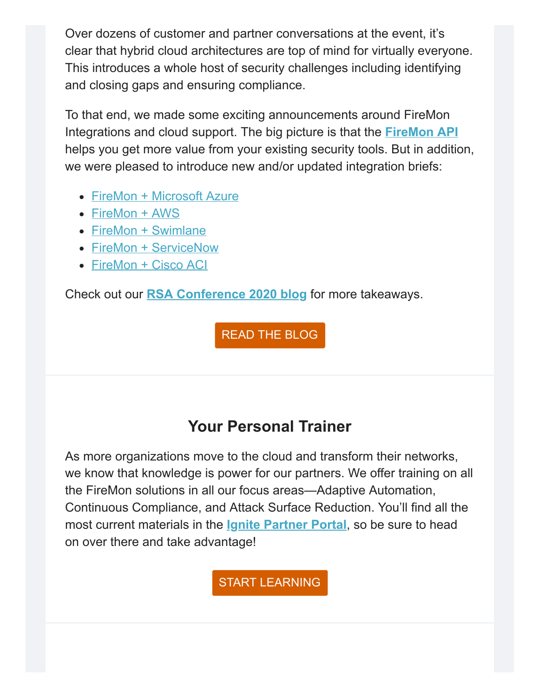Over dozens of customer and partner conversations at the event, it's clear that hybrid cloud architectures are top of mind for virtually everyone. This introduces a whole host of security challenges including identifying and closing gaps and ensuring compliance.

To that end, we made some exciting announcements around FireMon Integrations and cloud support. The big picture is that the **[FireMon API](http://content.firemon.com/e/11772/products-firemon-integrations-/6gy77s/1038337793?h=MvNCnP4tgVG1EgEOfMxoEWcTOLGObdFhTpl8LWGYtTg)** helps you get more value from your existing security tools. But in addition, we were pleased to introduce new and/or updated integration briefs:

- [FireMon + Microsoft Azure](http://content.firemon.com/e/11772/firemon-microsoft-azure-/6gy76z/1038337793?h=MvNCnP4tgVG1EgEOfMxoEWcTOLGObdFhTpl8LWGYtTg)
- [FireMon + AWS](http://content.firemon.com/e/11772/azon-web-services-integration-/6gy772/1038337793?h=MvNCnP4tgVG1EgEOfMxoEWcTOLGObdFhTpl8LWGYtTg)
- [FireMon + Swimlane](http://content.firemon.com/e/11772/firemon-swimlane-/6gy774/1038337793?h=MvNCnP4tgVG1EgEOfMxoEWcTOLGObdFhTpl8LWGYtTg)
- [FireMon + ServiceNow](http://content.firemon.com/e/11772/firemon-servicenow-/6gy776/1038337793?h=MvNCnP4tgVG1EgEOfMxoEWcTOLGObdFhTpl8LWGYtTg)
- [FireMon + Cisco ACI](http://content.firemon.com/e/11772/firemon-cisco-aci/6gy778/1038337793?h=MvNCnP4tgVG1EgEOfMxoEWcTOLGObdFhTpl8LWGYtTg)

Check out our **[RSA Conference 2020 blog](http://content.firemon.com/e/11772/s-seek-to-close-security-gaps-/6gy77b/1038337793?h=MvNCnP4tgVG1EgEOfMxoEWcTOLGObdFhTpl8LWGYtTg)** for more takeaways.

[READ THE BLOG](http://content.firemon.com/e/11772/s-seek-to-close-security-gaps-/6gy77b/1038337793?h=MvNCnP4tgVG1EgEOfMxoEWcTOLGObdFhTpl8LWGYtTg)

## **Your Personal Trainer**

As more organizations move to the cloud and transform their networks, we know that knowledge is power for our partners. We offer training on all the FireMon solutions in all our focus areas—Adaptive Automation, Continuous Compliance, and Attack Surface Reduction. You'll find all the most current materials in the **[Ignite Partner Portal](http://content.firemon.com/e/11772/English-/6gy77d/1038337793?h=MvNCnP4tgVG1EgEOfMxoEWcTOLGObdFhTpl8LWGYtTg)**, so be sure to head on over there and take advantage!

[START LEARNING](http://content.firemon.com/e/11772/English-/6gy77d/1038337793?h=MvNCnP4tgVG1EgEOfMxoEWcTOLGObdFhTpl8LWGYtTg)